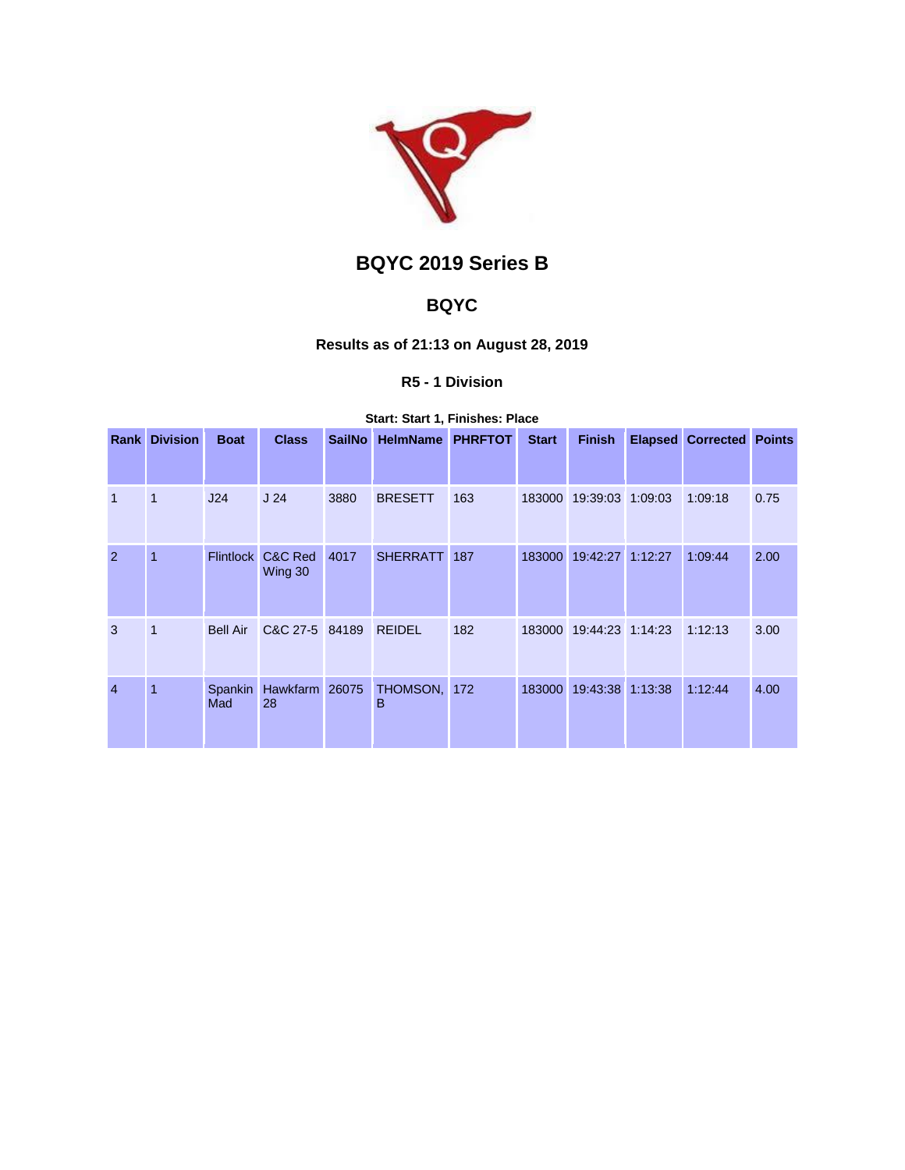

# **BQYC 2019 Series B**

## **BQYC**

## **Results as of 21:13 on August 28, 2019**

## **R5 - 1 Division**

#### **Start: Start 1, Finishes: Place**

| Rank           | <b>Division</b> | <b>Boat</b>      | <b>Class</b>         | <b>SailNo</b> | <b>HelmName</b>   | <b>PHRFTOT</b> | <b>Start</b> | <b>Finish</b>           |         | <b>Elapsed Corrected Points</b> |      |
|----------------|-----------------|------------------|----------------------|---------------|-------------------|----------------|--------------|-------------------------|---------|---------------------------------|------|
|                |                 |                  |                      |               |                   |                |              |                         |         |                                 |      |
| $\overline{1}$ | 1               | J24              | J <sub>24</sub>      | 3880          | <b>BRESETT</b>    | 163            | 183000       | 19:39:03 1:09:03        |         | 1:09:18                         | 0.75 |
| $\overline{2}$ | 1               | <b>Flintlock</b> | C&C Red<br>Wing 30   | 4017          | <b>SHERRATT</b>   | 187            | 183000       | 19:42:27                | 1:12:27 | 1:09:44                         | 2.00 |
| 3              | 1               | <b>Bell Air</b>  | C&C 27-5 84189       |               | <b>REIDEL</b>     | 182            |              | 183000 19:44:23 1:14:23 |         | 1:12:13                         | 3.00 |
| $\overline{4}$ | 1               | Spankin<br>Mad   | Hawkfarm 26075<br>28 |               | THOMSON, 172<br>B |                | 183000       | 19:43:38                | 1:13:38 | 1:12:44                         | 4.00 |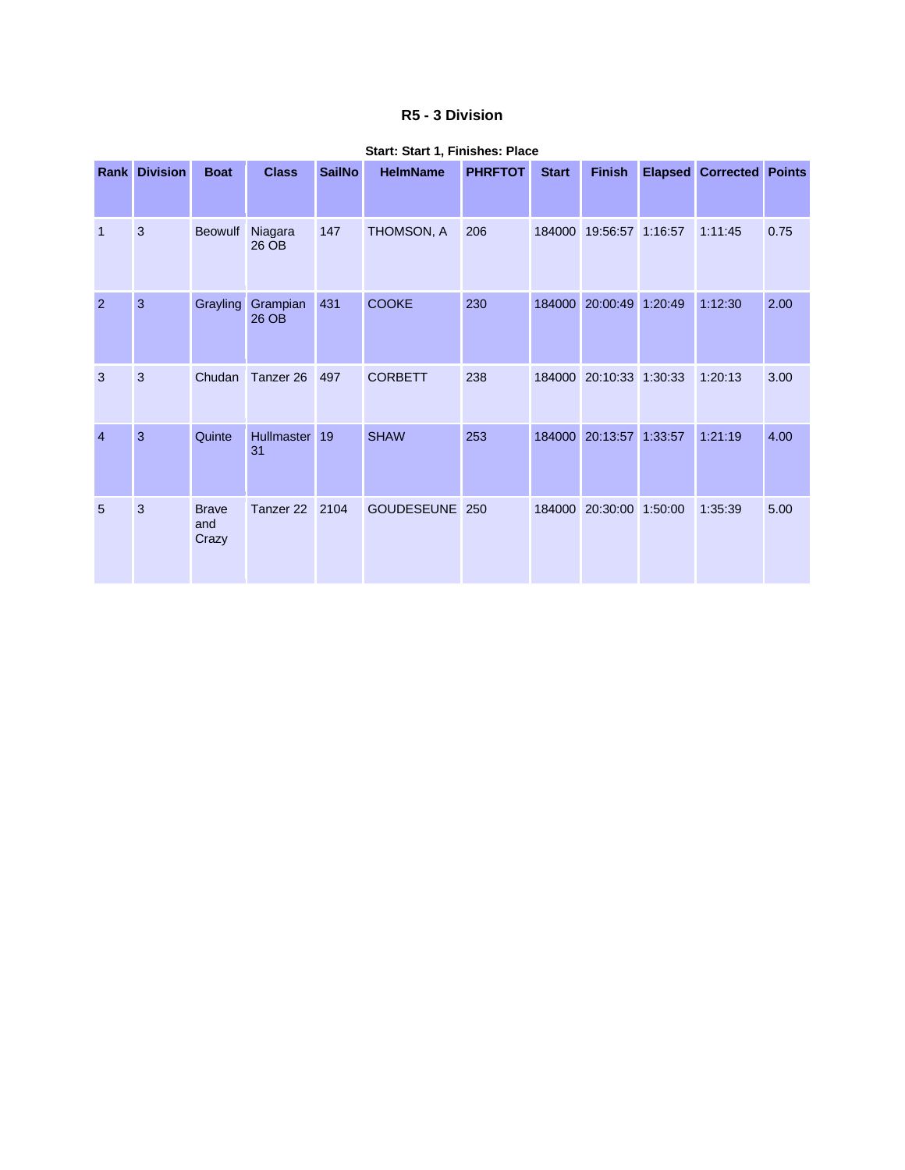### **R5 - 3 Division**

|                | <b>Rank Division</b> | <b>Boat</b>                  | <b>Class</b>      | <b>SailNo</b> | <b>HelmName</b> | <b>PHRFTOT</b> | <b>Start</b> | <b>Finish</b>    | <b>Elapsed</b> | <b>Corrected Points</b> |      |
|----------------|----------------------|------------------------------|-------------------|---------------|-----------------|----------------|--------------|------------------|----------------|-------------------------|------|
| $\mathbf 1$    | 3                    | Beowulf                      | Niagara<br>26 OB  | 147           | THOMSON, A      | 206            | 184000       | 19:56:57 1:16:57 |                | 1:11:45                 | 0.75 |
| 2              | 3                    | Grayling                     | Grampian<br>26 OB | 431           | <b>COOKE</b>    | 230            | 184000       | 20:00:49         | 1:20:49        | 1:12:30                 | 2.00 |
| 3              | 3                    | Chudan                       | Tanzer 26         | 497           | <b>CORBETT</b>  | 238            | 184000       | 20:10:33 1:30:33 |                | 1:20:13                 | 3.00 |
| $\overline{4}$ | 3                    | Quinte                       | Hullmaster<br>31  | 19            | <b>SHAW</b>     | 253            | 184000       | 20:13:57         | 1:33:57        | 1:21:19                 | 4.00 |
| 5              | 3                    | <b>Brave</b><br>and<br>Crazy | Tanzer 22         | 2104          | GOUDESEUNE 250  |                | 184000       | 20:30:00         | 1:50:00        | 1:35:39                 | 5.00 |

#### **Start: Start 1, Finishes: Place**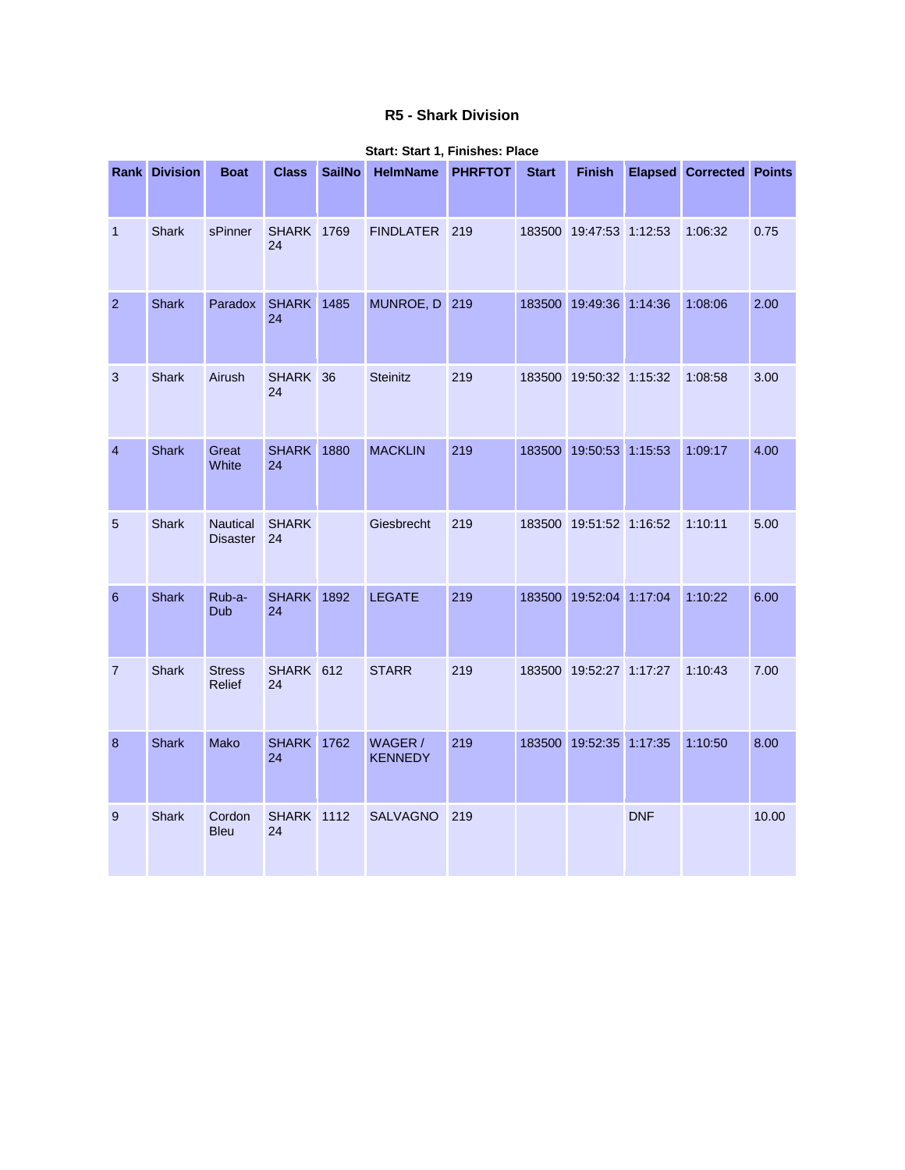## **R5 - Shark Division**

|                 | <b>Rank Division</b> | <b>Boat</b>                        | <b>Class</b>            | <b>SailNo</b> | <b>HelmName</b>           | <b>PHRFTOT</b> | <b>Start</b> | <b>Finish</b>           |            | <b>Elapsed Corrected</b> | <b>Points</b> |
|-----------------|----------------------|------------------------------------|-------------------------|---------------|---------------------------|----------------|--------------|-------------------------|------------|--------------------------|---------------|
| $\mathbf 1$     | Shark                | sPinner                            | <b>SHARK 1769</b><br>24 |               | FINDLATER 219             |                |              | 183500 19:47:53 1:12:53 |            | 1:06:32                  | 0.75          |
| $\overline{2}$  | <b>Shark</b>         | Paradox                            | <b>SHARK</b> 1485<br>24 |               | MUNROE, D 219             |                |              | 183500 19:49:36 1:14:36 |            | 1:08:06                  | 2.00          |
| 3               | <b>Shark</b>         | Airush                             | SHARK 36<br>24          |               | <b>Steinitz</b>           | 219            |              | 183500 19:50:32 1:15:32 |            | 1:08:58                  | 3.00          |
| $\overline{4}$  | <b>Shark</b>         | Great<br>White                     | <b>SHARK 1880</b><br>24 |               | <b>MACKLIN</b>            | 219            |              | 183500 19:50:53 1:15:53 |            | 1:09:17                  | 4.00          |
| 5               | <b>Shark</b>         | <b>Nautical</b><br><b>Disaster</b> | <b>SHARK</b><br>24      |               | Giesbrecht                | 219            |              | 183500 19:51:52 1:16:52 |            | 1:10:11                  | 5.00          |
| $6\phantom{1}6$ | <b>Shark</b>         | Rub-a-<br>Dub                      | <b>SHARK 1892</b><br>24 |               | <b>LEGATE</b>             | 219            |              | 183500 19:52:04 1:17:04 |            | 1:10:22                  | 6.00          |
| $\overline{7}$  | <b>Shark</b>         | <b>Stress</b><br>Relief            | SHARK 612<br>24         |               | <b>STARR</b>              | 219            |              | 183500 19:52:27 1:17:27 |            | 1:10:43                  | 7.00          |
| 8               | <b>Shark</b>         | Mako                               | <b>SHARK</b> 1762<br>24 |               | WAGER /<br><b>KENNEDY</b> | 219            |              | 183500 19:52:35 1:17:35 |            | 1:10:50                  | 8.00          |
| 9               | <b>Shark</b>         | Cordon<br><b>Bleu</b>              | <b>SHARK</b> 1112<br>24 |               | <b>SALVAGNO</b>           | 219            |              |                         | <b>DNF</b> |                          | 10.00         |

#### **Start: Start 1, Finishes: Place**